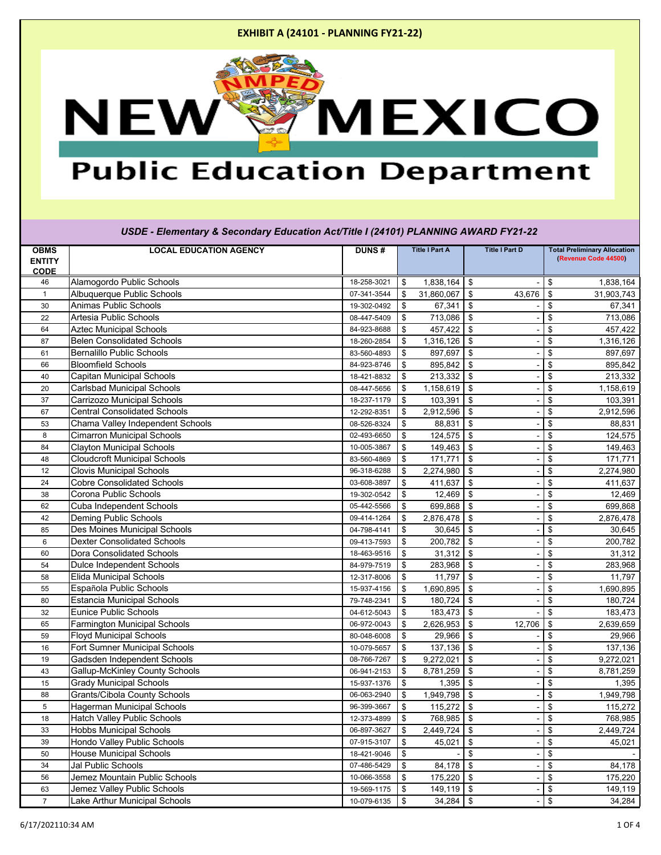

# **Public Education Department**

#### **OBMS ENTITY CODE LOCAL EDUCATION AGENCY DUNS # Title I Part A Title I Part D Total Preliminary Allocation (Revenue Code 44500)** 46 Alamogordo Public Schools 18-258-3021 \$ 1,838,164 \$ - \$ 1,838,164 1 Albuquerque Public Schools 07-341-3544 \$ 31,860,067 \$ 43,676 \$ 31,903,743 30 Animas Public Schools 19-302-0492 \$ 67,341 \$ - \$ 67,341 22 Artesia Public Schools 08-447-5409 \$ 713,086 \$ - \$ 713,086 64 Aztec Municipal Schools 864-923-8688  $\frac{1}{3}$  84-923-8688  $\frac{1}{3}$  457,422  $\frac{1}{3}$  -  $\frac{1}{3}$  457,422 87 Belen Consolidated Schools **1,316,126** 18-260-2854  $\frac{1}{3}$  1,316,126  $\frac{1}{3}$  1,316,126  $\frac{1}{3}$  1,316,126 61 Bernalillo Public Schools 83-560-4893 \$ 897,697 \$ - \$ 897,697 66 Bloomfield Schools 84-923-8746 \$ 895,842 \$ - \$ 895,842 40 Capitan Municipal Schools 18-421-8832 \$ 213,332 \$ - \$ 213,332 20 Carlsbad Municipal Schools 08-447-5656 \$ 1,158,619 \$ - \$ 1,158,619 37 Carrizozo Municipal Schools 18-237-1179 \$ 103,391 \$ - \$ 103,391 67 Central Consolidated Schools 12-292-8351 \$ 2,912,596 \$ - \$ 2,912,596 53 Chama Valley Independent Schools 68,831 | 08-526-8324 | \$ 88,831 | \$ - | \$ 88,831 8 Cimarron Municipal Schools 02-493-6650 \$ 124,575 \$ - \$ 124,575 84 Clayton Municipal Schools 10-005-3867 \$ 149,463 \$ - \$ 149,463 48 Cloudcroft Municipal Schools 83-560-4869 \$ 171,771 \$ - \$ 171,771 12 Clovis Municipal Schools 96-318-6288 \$ 2,274,980 \$ - \$ 2,274,980 24 Cobre Consolidated Schools 03-608-3897 \$ 411,637 \$ - \$ 411,637 38 Corona Public Schools 19-302-0542 \$ 12,469 \$ - \$ 12,469 62 Cuba Independent Schools 05-442-5566 \$ 699,868 \$ - \$ 699,868 42 Deming Public Schools 09-414-1264 \$ 2,876,478 \$ - \$ 2,876,478 85 Des Moines Municipal Schools 04-798-4141 \$ 30,645 \$ - \$ 30,645 6 Dexter Consolidated Schools 09-413-7593 \$ 200,782 \$ - \$ 200,782 60 Dora Consolidated Schools 18-463-9516 \$ 31,312 \$ - \$ 31,312 54 Dulce Independent Schools 84-979-7519 \$ 283,968 \$ - \$ 283,968 58 Elida Municipal Schools 12-317-8006 \$ 11,797 \$ - \$ 11,797 55 Española Public Schools 15-937-4156 \$ 1,690,895 \$ - \$ 1,690,895 80 Estancia Municipal Schools 79-748-2341 \$ 180,724 \$ - \$ 180,724 32 Eunice Public Schools 04-612-5043 \$ 183,473 \$ - \$ 183,473 65 Farmington Municipal Schools 06-972-0043 \$ 2,626,953 \$ 12,706 \$ 2,639,659 59 Floyd Municipal Schools 80-048-6008 \$ 29,966 \$ - \$ 29,966 16 | Fort Sumner Municipal Schools | 10-079-5657 | \$ 137,136 | \$ 137,136 | \$ 137,136 19 | Gadsden Independent Schools | 08-766-7267 | \$ 9,272,021 | \$ - | \$ 9,272,021 43 Gallup-McKinley County Schools **1980 County Schools** 106-941-2153 \$ 8,781,259 \$ 16.781,259 \$ 8,781,259 15 Grady Municipal Schools 15-937-1376 \$ 1,395 \$ - \$ 1,395 88 Grants/Cibola County Schools 06-063-2940 \$ 1,949,798 \$ - \$ 1,949,798 5 Hagerman Municipal Schools 96-399-3667 \$ 115,272 \$ - \$ 115,272 18 Hatch Valley Public Schools 12-373-4899 \$ 768,985 \$ - \$ 768,985 33 |Hobbs Municipal Schools 06-897-3627 |\$ 2,449,724 39 Hondo Valley Public Schools 6 | 07-915-3107 | \$ 45,021 | \$ 45,021 | \$ 45,021 | \$ 45,021 50 | House Municipal Schools | 18-421-9046 | \$ - | \$ - | \$ - | \$ 34 Jal Public Schools 64,178 (1991) 84,178 (1991) 84,178 (1991) 84,178 (1991) 84,178 (1991) 84,178 (1991) 84,178 56 | Jemez Mountain Public Schools | 10-066-3558 | \$ 175,220 | \$ 175,220 | \$ 175,220 63 | Jemez Valley Public Schools | 19-569-1175 | \$ 149,119 | \$ 149,119 | \$ 149,119 | \$ 149,119 7 | Lake Arthur Municipal Schools | 10-079-6135 | \$ 34,284 | \$ - | \$ 34,284 *USDE - Elementary & Secondary Education Act/Title I (24101) PLANNING AWARD FY21-22*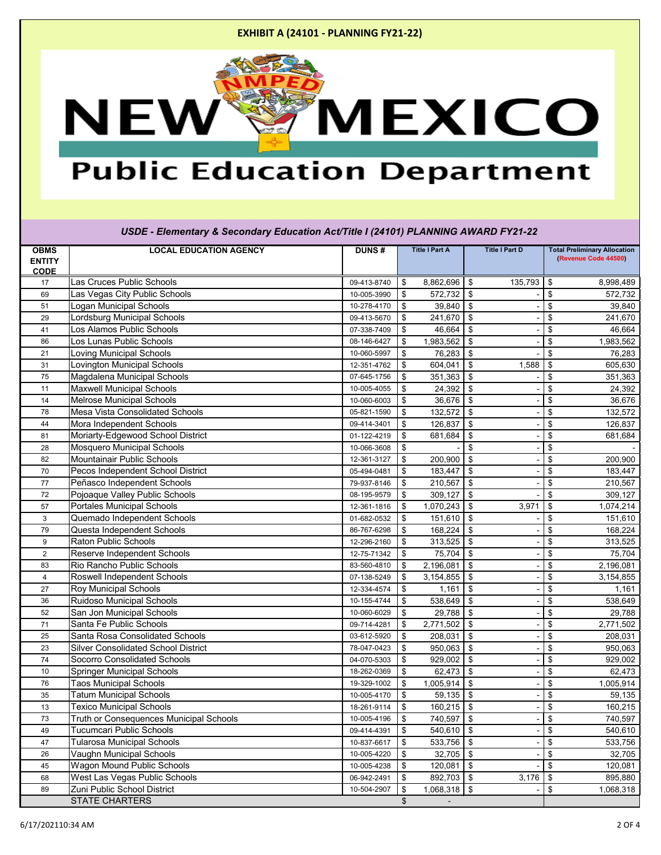

# **Public Education Department**

#### **OBMS ENTITY CODE LOCAL EDUCATION AGENCY DUNS # Title I Part A Title I Part D Total Preliminary Allocation (Revenue Code 44500)** *USDE - Elementary & Secondary Education Act/Title I (24101) PLANNING AWARD FY21-22* 17 **Las Cruces Public Schools** 6,998,489 **120 120 135,793 1361 136,998,489 135,793 136** 69 |Las Vegas City Public Schools | 10-005-3990 | \$ 572,732 | \$ 572,732 51 Logan Municipal Schools 10-278-4170 \$ 39,840 \$ - \$ 39,840 29 Lordsburg Municipal Schools 09-413-5670 \$ 241,670 \$ - \$ 241,670 41 Los Alamos Public Schools 07-338-7409 \$ 46,664 \$ - \$ 46,664 86 Los Lunas Public Schools 08-146-6427 \$ 1,983,562 \$ - \$ 1,983,562 21 |Loving Municipal Schools | 10-060-5997 |\$ 76,283 | \$ 76,283 31 Lovington Municipal Schools | 12-351-4762 | \$ 604,041 | \$ 1,588 | \$ 605,630 75 | Magdalena Municipal Schools | 07-645-1756 | \$ 351,363 | \$ - | \$ 351,363 11 Maxwell Municipal Schools 10-005-4055 \$ 24,392 \$ - \$ 24,392 14 | Melrose Municipal Schools | 10-060-6003 | \$ 36,676 | \$ - \$ 36,676 | \$ 36,676 | \$ 36,676 78 | Mesa Vista Consolidated Schools | 05-821-1590 | \$ 132,572 | \$ 132,572 44 | Mora Independent Schools | 09-414-3401 | \$ 126,837 | \$ - | \$ 126,837 81 Moriarty-Edgewood School District **11-122-4219 | 01-122-4219 | \$** 681,684 | \$ 681,684 | \$ 681,684 28 Mosquero Municipal Schools 10-066-3608 \$ - \$ - \$ - 82 Mountainair Public Schools 12-361-3127 \$ 200,900 \$ - \$ 200,900 70 Pecos Independent School District 05-494-0481 \$ 183,447 \$ - \$ 183,447 77 | Peñasco Independent Schools | 29-937-8146 | \$ 210,567 | \$ 210,567 | \$ 210,567 72 Pojoaque Valley Public Schools 08-195-9579 \$ 309,127 \$ - \$ 309,127 57 Portales Municipal Schools 12-361-1816 \$ 1,070,243 \$ 3,971 \$ 1,074,214 3 Quemado Independent Schools 01-682-0532 \$ 151,610 \$ - \$ 151,610 79 Questa Independent Schools 86-767-6298 \$ 168,224 \$ - \$ 168,224 9 Raton Public Schools 12-296-2160 \$ 313,525 \$ - \$ 313,525 2 Reserve Independent Schools 12-75-71342 | \$ 75,704 | \$ 12-75-71342 | \$ 75,704 | \$ 75,704 83 |Rio Rancho Public Schools | 83-560-4810 | \$ 2,196,081 | \$ 2,196,081 4 | Roswell Independent Schools | 07-138-5249 | \$ 3,154,855 | \$ - \$ 3,154,855 | \$ 27 Roy Municipal Schools 12-334-4574 \$ 1,161 \$ - \$ 1,161 36 Ruidoso Municipal Schools 10-155-4744 \$ 538,649 \$ - \$ 538,649 52 San Jon Municipal Schools 10-060-6029 | \$ 29,788 | \$ 29,788 | \$ 29,788 | \$ 29,788 71 Santa Fe Public Schools 09-714-4281 \$ 2,771,502 \$ - \$ 2,771,502 25 Santa Rosa Consolidated Schools 03-612-5920 \$ 208,031 \$ - \$ 208,031 23 Silver Consolidated School District 20 23 | 18-047-0423 | \$ 950,063 | \$ 950,063 | \$ 950,063 | \$ 950,063 74 Socorro Consolidated Schools **1986 120 September 104-070-5303**  $\frac{1}{3}$  929,002  $\frac{1}{3}$  929,002  $\frac{1}{3}$  -  $\frac{1}{3}$  929,002 10 Springer Municipal Schools 18-262-0369 | 18-262-0369 | \$ 62,473 | \$ 62,473 | \$ 62,473 | \$ 62,473 76 Taos Municipal Schools 19-329-1002 \$ 1,005,914 \$ - \$ 1,005,914 35 Tatum Municipal Schools 10-005-4170 \$ 59,135 \$ - \$ 59,135 13 Texico Municipal Schools 18-261-9114 \$ 160,215 \$ - \$ 160,215 73 | Truth or Consequences Municipal Schools | 10-005-4196 | \$ 740,597 | \$ | \$ 740,597 | \$ 740,597 49 Tucumcari Public Schools 09-414-4391 \$ 540,610 \$ - \$ 540,610 47 Tularosa Municipal Schools 10-837-6617 \$ 533,756 \$ - \$ 533,756 26 Vaughn Municipal Schools 10-005-4220 | \$ 32,705 | \$ 32,705 | \$ 32,705 | \$ 32,705 | \$ 32,705 45 Wagon Mound Public Schools 10-005-4238 \$ 120,081 \$ - \$ 120,081 68 West Las Vegas Public Schools 06-942-2491 \$ 892,703 \$ 3,176 \$ 895,880 89 | Zuni Public School District | 10-504-2907 | \$ 1,068,318 | \$ 1,068,318 | \$ 1,068,318 STATE CHARTERS **\$**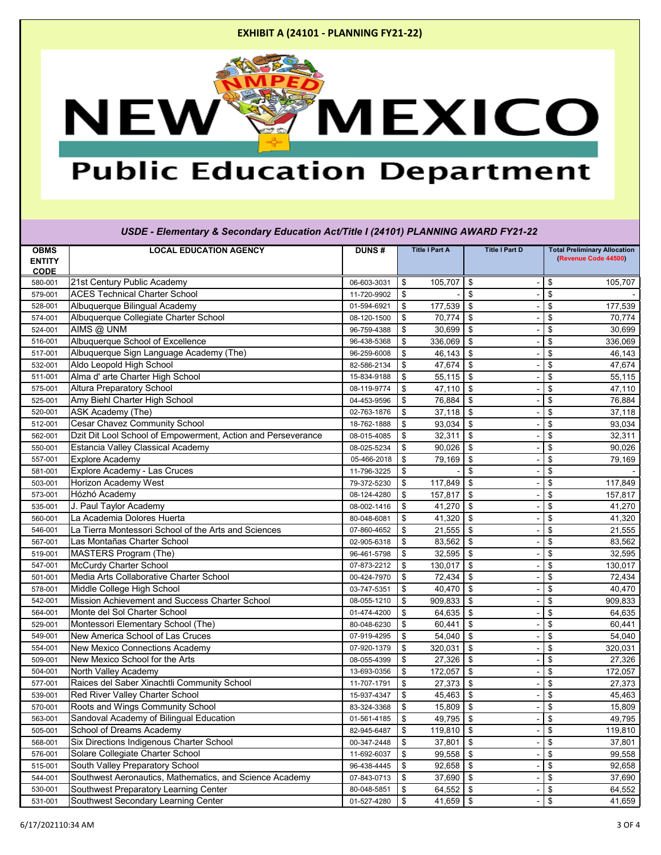

# **Public Education Department**

| USDE - Elementary & Secondary Education Act/Title I (24101) PLANNING AWARD FY21-22 |                                                              |              |                              |                            |                                      |  |  |  |  |
|------------------------------------------------------------------------------------|--------------------------------------------------------------|--------------|------------------------------|----------------------------|--------------------------------------|--|--|--|--|
| <b>OBMS</b>                                                                        | <b>LOCAL EDUCATION AGENCY</b>                                | <b>DUNS#</b> | <b>Title I Part A</b>        | <b>Title I Part D</b>      | <b>Total Preliminary Allocation</b>  |  |  |  |  |
| <b>ENTITY</b>                                                                      |                                                              |              |                              |                            | (Revenue Code 44500)                 |  |  |  |  |
| <b>CODE</b><br>580-001                                                             | 21st Century Public Academy                                  | 06-603-3031  | 105,707<br>\$                | $\$\$                      | 105,707<br>\$                        |  |  |  |  |
| 579-001                                                                            | <b>ACES Technical Charter School</b>                         | 11-720-9902  | \$                           | \$                         | \$                                   |  |  |  |  |
| 528-001                                                                            | Albuquerque Bilingual Academy                                | 01-594-6921  | \$<br>177,539                | $\$\$                      | \$<br>177,539                        |  |  |  |  |
| 574-001                                                                            | Albuquerque Collegiate Charter School                        | 08-120-1500  | \$<br>70,774                 | \$                         | \$<br>70,774                         |  |  |  |  |
| 524-001                                                                            | AIMS @ UNM                                                   | 96-759-4388  | \$<br>30,699                 | \$                         | \$<br>30,699                         |  |  |  |  |
| 516-001                                                                            | Albuquerque School of Excellence                             | 96-438-5368  | \$<br>336,069                | \$                         | \$<br>336,069                        |  |  |  |  |
| 517-001                                                                            | Albuquerque Sign Language Academy (The)                      | 96-259-6008  | \$<br>46,143                 | \$                         | \$<br>46,143                         |  |  |  |  |
| 532-001                                                                            | Aldo Leopold High School                                     | 82-586-2134  | \$<br>47,674                 | $\mathfrak{S}$             | \$<br>47,674                         |  |  |  |  |
| 511-001                                                                            | Alma d' arte Charter High School                             | 15-834-9188  | \$<br>55,115                 | $\boldsymbol{\mathsf{\$}}$ | \$<br>55,115                         |  |  |  |  |
| 575-001                                                                            | <b>Altura Preparatory School</b>                             | 08-119-9774  | \$<br>47,110                 | $\$\$                      | \$<br>47,110                         |  |  |  |  |
| 525-001                                                                            | Amy Biehl Charter High School                                | 04-453-9596  | \$<br>76,884                 | \$                         | \$<br>76,884                         |  |  |  |  |
| 520-001                                                                            | ASK Academy (The)                                            | 02-763-1876  | 37,118<br>\$                 | \$                         | \$<br>37,118                         |  |  |  |  |
| 512-001                                                                            | <b>Cesar Chavez Community School</b>                         | 18-762-1888  | \$<br>93,034                 | \$                         | \$<br>93,034                         |  |  |  |  |
| 562-001                                                                            | Dzit Dit Lool School of Empowerment, Action and Perseverance | 08-015-4085  | \$<br>32,311                 | \$                         | \$<br>32,311                         |  |  |  |  |
| 550-001                                                                            | <b>Estancia Valley Classical Academy</b>                     | 08-025-5234  | \$<br>90,026                 | \$                         | 90,026<br>\$                         |  |  |  |  |
| 557-001                                                                            | <b>Explore Academy</b>                                       | 05-466-2018  | \$<br>79,169                 | \$                         | \$<br>79,169                         |  |  |  |  |
| 581-001                                                                            | Explore Academy - Las Cruces                                 | 11-796-3225  | \$                           | \$                         | \$                                   |  |  |  |  |
| 503-001                                                                            | <b>Horizon Academy West</b>                                  | 79-372-5230  | 117,849<br>\$                | $\mathfrak{S}$             | \$<br>117,849                        |  |  |  |  |
| 573-001                                                                            | Hózhó Academy                                                | 08-124-4280  | \$<br>157,817                | \$                         | \$<br>157,817                        |  |  |  |  |
| 535-001                                                                            | J. Paul Taylor Academy                                       | 08-002-1416  | \$<br>41,270                 | \$                         | \$<br>41,270                         |  |  |  |  |
| 560-001                                                                            | La Academia Dolores Huerta                                   | 80-048-6081  | \$<br>41,320                 | \$                         | \$<br>41,320                         |  |  |  |  |
| 546-001                                                                            | La Tierra Montessori School of the Arts and Sciences         | 07-860-4652  | \$<br>21,555                 | \$                         | 21,555<br>\$                         |  |  |  |  |
| 567-001                                                                            | Las Montañas Charter School                                  | 02-905-6318  | \$<br>83,562                 | $\mathfrak{S}$             | \$<br>83,562                         |  |  |  |  |
| 519-001                                                                            | MASTERS Program (The)                                        | 96-461-5798  | \$<br>32,595                 | \$                         | \$<br>32,595                         |  |  |  |  |
| 547-001                                                                            | <b>McCurdy Charter School</b>                                | 07-873-2212  | \$<br>130,017                | $\boldsymbol{\mathsf{\$}}$ | \$<br>130,017                        |  |  |  |  |
| 501-001                                                                            | Media Arts Collaborative Charter School                      | 00-424-7970  | \$<br>72,434                 | \$                         | \$<br>72,434                         |  |  |  |  |
| 578-001                                                                            | Middle College High School                                   | 03-747-5351  | $40,470$ \\$<br>\$           |                            | \$<br>40,470                         |  |  |  |  |
| 542-001                                                                            | Mission Achievement and Success Charter School               | 08-055-1210  | $909,833$   \$<br>\$         |                            | 909,833                              |  |  |  |  |
| 564-001                                                                            | Monte del Sol Charter School                                 | 01-474-4200  | $64,635$ \$<br>\$            |                            | \$<br>64,635                         |  |  |  |  |
| 529-001                                                                            | Montessori Elementary School (The)                           | 80-048-6230  | \$<br>60,441                 | $\boldsymbol{\mathsf{\$}}$ | \$<br>60,441                         |  |  |  |  |
| 549-001                                                                            | New America School of Las Cruces                             | 07-919-4295  | \$<br>54,040                 | $\$\$                      | \$<br>54,040                         |  |  |  |  |
| 554-001                                                                            | <b>New Mexico Connections Academy</b>                        | 07-920-1379  | \$<br>320,031                | $\mathfrak{S}$             | \$<br>320,031                        |  |  |  |  |
| 509-001                                                                            | New Mexico School for the Arts                               | 08-055-4399  | \$<br>27,326                 | \$                         | \$<br>27,326                         |  |  |  |  |
| 504-001                                                                            | North Valley Academy                                         | 13-693-0356  | \$<br>172,057                | $\$\$                      | \$<br>172,057                        |  |  |  |  |
| 577-001                                                                            | Raices del Saber Xinachtli Community School                  | 11-707-1791  | \$<br>27,373                 | $\boldsymbol{\mathsf{\$}}$ | \$<br>27,373                         |  |  |  |  |
| 539-001                                                                            | Red River Valley Charter School                              | 15-937-4347  | 45,463<br>\$                 | $\mathfrak{S}$             | \$<br>45,463                         |  |  |  |  |
| 570-001                                                                            | Roots and Wings Community School                             | 83-324-3368  | 15,809<br>\$                 | \$                         | \$<br>15,809                         |  |  |  |  |
| 563-001                                                                            | Sandoval Academy of Bilingual Education                      | 01-561-4185  | \$<br>49,795                 | \$                         | \$<br>49,795                         |  |  |  |  |
| 505-001                                                                            | School of Dreams Academy                                     | 82-945-6487  | \$<br>119,810                | $\mathfrak{S}$             | \$<br>119,810                        |  |  |  |  |
| 568-001                                                                            | Six Directions Indigenous Charter School                     | 00-347-2448  | \$<br>37,801                 | \$                         | \$<br>37,801                         |  |  |  |  |
| 576-001                                                                            | Solare Collegiate Charter School                             | 11-692-6037  | \$<br>99,558                 | $\boldsymbol{\mathsf{\$}}$ | \$<br>99,558                         |  |  |  |  |
| 515-001                                                                            | South Valley Preparatory School                              | 96-438-4445  | \$<br>92,658                 | $\$\$                      | \$<br>92,658                         |  |  |  |  |
| 544-001                                                                            | Southwest Aeronautics, Mathematics, and Science Academy      | 07-843-0713  | 37,690<br>\$                 | $\mathfrak{S}$             | \$<br>37,690                         |  |  |  |  |
| 530-001                                                                            | Southwest Preparatory Learning Center                        | 80-048-5851  | 64,552<br>\$                 | $\$\$                      | $\boldsymbol{\mathsf{\$}}$<br>64,552 |  |  |  |  |
| 531-001                                                                            | Southwest Secondary Learning Center                          | 01-527-4280  | $\sqrt[6]{3}$<br>41,659   \$ | $\blacksquare$             | $\boldsymbol{\mathsf{\$}}$<br>41,659 |  |  |  |  |